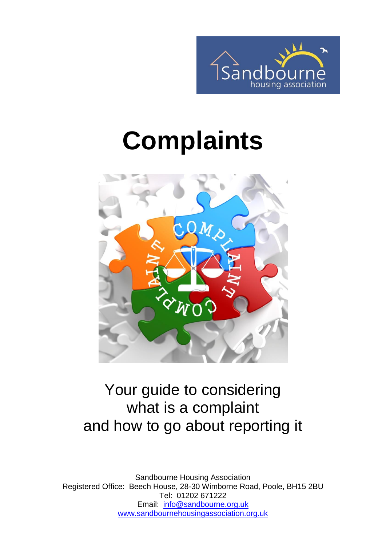

# **Complaints**



#### Your guide to considering what is a complaint and how to go about reporting it

Sandbourne Housing Association Registered Office: Beech House, 28-30 Wimborne Road, Poole, BH15 2BU Tel: 01202 671222 Email: [info@sandbourne.org.uk](mailto:info@sandbourne.org.uk) [www.sandbournehousingassociation.org.uk](http://www.sandbournehousingassociation.org.uk/)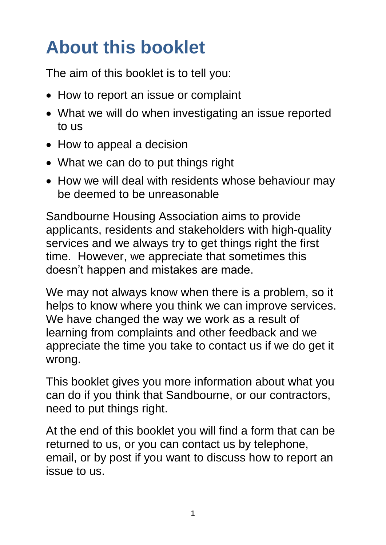## **About this booklet**

The aim of this booklet is to tell you:

- How to report an issue or complaint
- What we will do when investigating an issue reported to us
- How to appeal a decision
- What we can do to put things right
- How we will deal with residents whose behaviour may be deemed to be unreasonable

Sandbourne Housing Association aims to provide applicants, residents and stakeholders with high-quality services and we always try to get things right the first time. However, we appreciate that sometimes this doesn't happen and mistakes are made.

We may not always know when there is a problem, so it helps to know where you think we can improve services. We have changed the way we work as a result of learning from complaints and other feedback and we appreciate the time you take to contact us if we do get it wrong.

This booklet gives you more information about what you can do if you think that Sandbourne, or our contractors, need to put things right.

At the end of this booklet you will find a form that can be returned to us, or you can contact us by telephone, email, or by post if you want to discuss how to report an issue to us.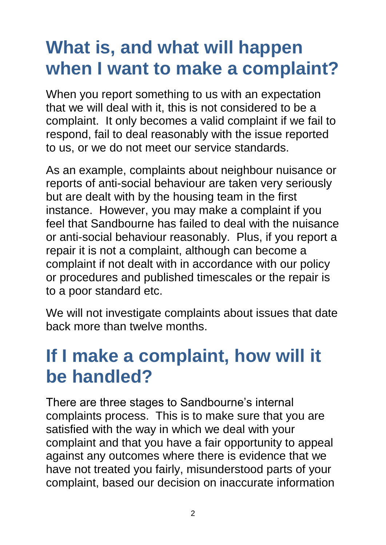## **What is, and what will happen when I want to make a complaint?**

When you report something to us with an expectation that we will deal with it, this is not considered to be a complaint. It only becomes a valid complaint if we fail to respond, fail to deal reasonably with the issue reported to us, or we do not meet our service standards.

As an example, complaints about neighbour nuisance or reports of anti-social behaviour are taken very seriously but are dealt with by the housing team in the first instance. However, you may make a complaint if you feel that Sandbourne has failed to deal with the nuisance or anti-social behaviour reasonably. Plus, if you report a repair it is not a complaint, although can become a complaint if not dealt with in accordance with our policy or procedures and published timescales or the repair is to a poor standard etc.

We will not investigate complaints about issues that date back more than twelve months.

## **If I make a complaint, how will it be handled?**

There are three stages to Sandbourne's internal complaints process. This is to make sure that you are satisfied with the way in which we deal with your complaint and that you have a fair opportunity to appeal against any outcomes where there is evidence that we have not treated you fairly, misunderstood parts of your complaint, based our decision on inaccurate information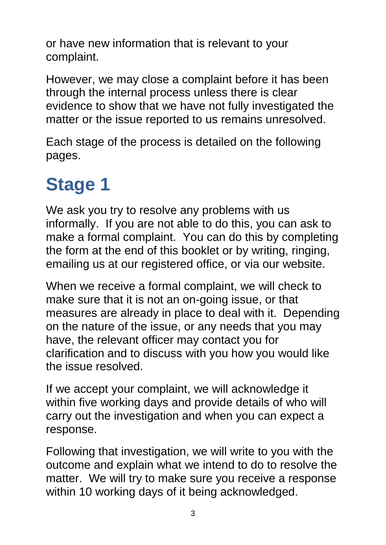or have new information that is relevant to your complaint.

However, we may close a complaint before it has been through the internal process unless there is clear evidence to show that we have not fully investigated the matter or the issue reported to us remains unresolved.

Each stage of the process is detailed on the following pages.

## **Stage 1**

We ask you try to resolve any problems with us informally. If you are not able to do this, you can ask to make a formal complaint. You can do this by completing the form at the end of this booklet or by writing, ringing, emailing us at our registered office, or via our website.

When we receive a formal complaint, we will check to make sure that it is not an on-going issue, or that measures are already in place to deal with it. Depending on the nature of the issue, or any needs that you may have, the relevant officer may contact you for clarification and to discuss with you how you would like the issue resolved.

If we accept your complaint, we will acknowledge it within five working days and provide details of who will carry out the investigation and when you can expect a response.

Following that investigation, we will write to you with the outcome and explain what we intend to do to resolve the matter. We will try to make sure you receive a response within 10 working days of it being acknowledged.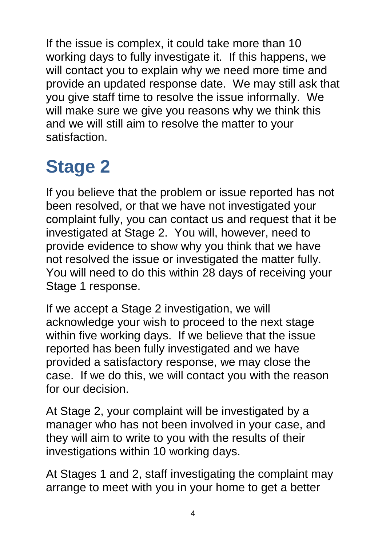If the issue is complex, it could take more than 10 working days to fully investigate it. If this happens, we will contact you to explain why we need more time and provide an updated response date. We may still ask that you give staff time to resolve the issue informally. We will make sure we give you reasons why we think this and we will still aim to resolve the matter to your satisfaction.

## **Stage 2**

If you believe that the problem or issue reported has not been resolved, or that we have not investigated your complaint fully, you can contact us and request that it be investigated at Stage 2. You will, however, need to provide evidence to show why you think that we have not resolved the issue or investigated the matter fully. You will need to do this within 28 days of receiving your Stage 1 response.

If we accept a Stage 2 investigation, we will acknowledge your wish to proceed to the next stage within five working days. If we believe that the issue reported has been fully investigated and we have provided a satisfactory response, we may close the case. If we do this, we will contact you with the reason for our decision.

At Stage 2, your complaint will be investigated by a manager who has not been involved in your case, and they will aim to write to you with the results of their investigations within 10 working days.

At Stages 1 and 2, staff investigating the complaint may arrange to meet with you in your home to get a better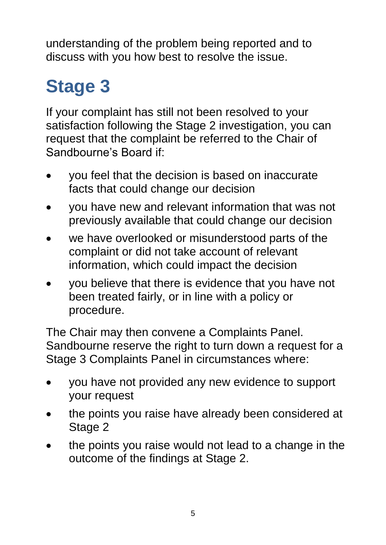understanding of the problem being reported and to discuss with you how best to resolve the issue.

## **Stage 3**

If your complaint has still not been resolved to your satisfaction following the Stage 2 investigation, you can request that the complaint be referred to the Chair of Sandbourne's Board if:

- you feel that the decision is based on inaccurate facts that could change our decision
- you have new and relevant information that was not previously available that could change our decision
- we have overlooked or misunderstood parts of the complaint or did not take account of relevant information, which could impact the decision
- you believe that there is evidence that you have not been treated fairly, or in line with a policy or procedure.

The Chair may then convene a Complaints Panel. Sandbourne reserve the right to turn down a request for a Stage 3 Complaints Panel in circumstances where:

- you have not provided any new evidence to support your request
- the points you raise have already been considered at Stage 2
- the points you raise would not lead to a change in the outcome of the findings at Stage 2.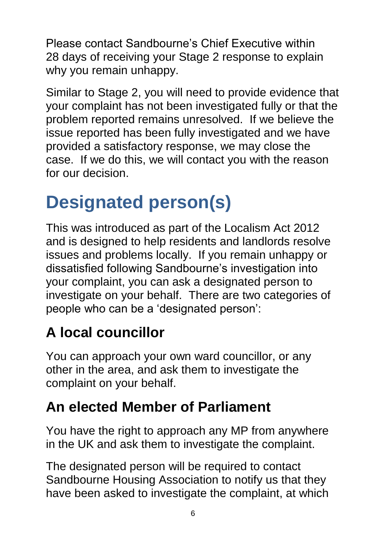Please contact Sandbourne's Chief Executive within 28 days of receiving your Stage 2 response to explain why you remain unhappy.

Similar to Stage 2, you will need to provide evidence that your complaint has not been investigated fully or that the problem reported remains unresolved. If we believe the issue reported has been fully investigated and we have provided a satisfactory response, we may close the case. If we do this, we will contact you with the reason for our decision.

## **Designated person(s)**

This was introduced as part of the Localism Act 2012 and is designed to help residents and landlords resolve issues and problems locally. If you remain unhappy or dissatisfied following Sandbourne's investigation into your complaint, you can ask a designated person to investigate on your behalf. There are two categories of people who can be a 'designated person':

#### **A local councillor**

You can approach your own ward councillor, or any other in the area, and ask them to investigate the complaint on your behalf.

#### **An elected Member of Parliament**

You have the right to approach any MP from anywhere in the UK and ask them to investigate the complaint.

The designated person will be required to contact Sandbourne Housing Association to notify us that they have been asked to investigate the complaint, at which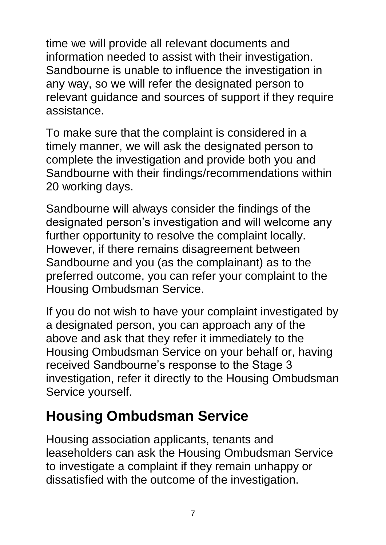time we will provide all relevant documents and information needed to assist with their investigation. Sandbourne is unable to influence the investigation in any way, so we will refer the designated person to relevant guidance and sources of support if they require assistance.

To make sure that the complaint is considered in a timely manner, we will ask the designated person to complete the investigation and provide both you and Sandbourne with their findings/recommendations within 20 working days.

Sandbourne will always consider the findings of the designated person's investigation and will welcome any further opportunity to resolve the complaint locally. However, if there remains disagreement between Sandbourne and you (as the complainant) as to the preferred outcome, you can refer your complaint to the Housing Ombudsman Service.

If you do not wish to have your complaint investigated by a designated person, you can approach any of the above and ask that they refer it immediately to the Housing Ombudsman Service on your behalf or, having received Sandbourne's response to the Stage 3 investigation, refer it directly to the Housing Ombudsman Service yourself.

#### **Housing Ombudsman Service**

Housing association applicants, tenants and leaseholders can ask the Housing Ombudsman Service to investigate a complaint if they remain unhappy or dissatisfied with the outcome of the investigation.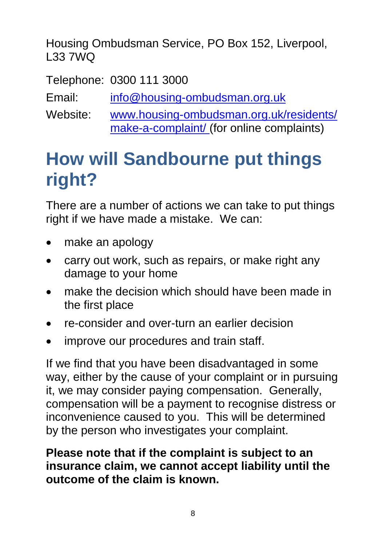Housing Ombudsman Service, PO Box 152, Liverpool, L33 7WQ

Telephone: 0300 111 3000

Email: [info@housing-ombudsman.org.uk](mailto:info@housing-ombudsman.org.uk)

Website: [www.housing-ombudsman.org.uk/residents/](http://www.housing-ombudsman.org.uk/residents/) make-a-complaint/ (for online complaints)

## **How will Sandbourne put things right?**

There are a number of actions we can take to put things right if we have made a mistake. We can:

- make an apology
- carry out work, such as repairs, or make right any damage to your home
- make the decision which should have been made in the first place
- re-consider and over-turn an earlier decision
- improve our procedures and train staff.

If we find that you have been disadvantaged in some way, either by the cause of your complaint or in pursuing it, we may consider paying compensation. Generally, compensation will be a payment to recognise distress or inconvenience caused to you. This will be determined by the person who investigates your complaint.

#### **Please note that if the complaint is subject to an insurance claim, we cannot accept liability until the outcome of the claim is known.**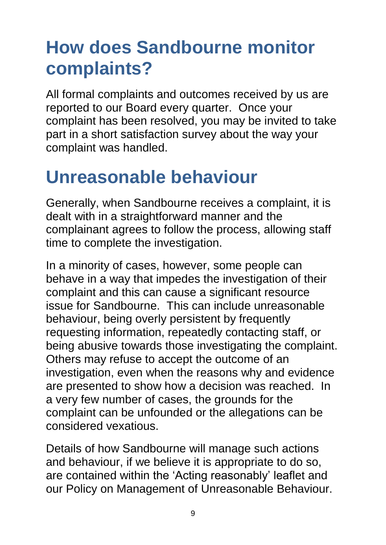## **How does Sandbourne monitor complaints?**

All formal complaints and outcomes received by us are reported to our Board every quarter. Once your complaint has been resolved, you may be invited to take part in a short satisfaction survey about the way your complaint was handled.

### **Unreasonable behaviour**

Generally, when Sandbourne receives a complaint, it is dealt with in a straightforward manner and the complainant agrees to follow the process, allowing staff time to complete the investigation.

In a minority of cases, however, some people can behave in a way that impedes the investigation of their complaint and this can cause a significant resource issue for Sandbourne. This can include unreasonable behaviour, being overly persistent by frequently requesting information, repeatedly contacting staff, or being abusive towards those investigating the complaint. Others may refuse to accept the outcome of an investigation, even when the reasons why and evidence are presented to show how a decision was reached. In a very few number of cases, the grounds for the complaint can be unfounded or the allegations can be considered vexatious.

Details of how Sandbourne will manage such actions and behaviour, if we believe it is appropriate to do so, are contained within the 'Acting reasonably' leaflet and our Policy on Management of Unreasonable Behaviour.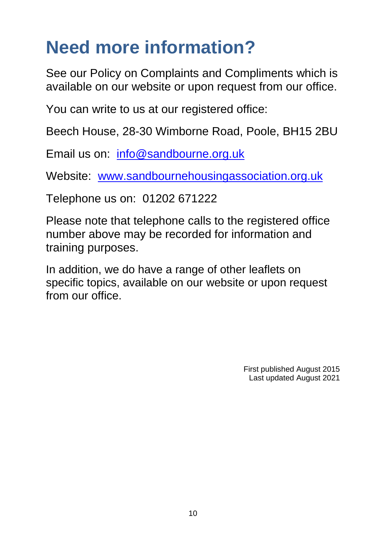## **Need more information?**

See our Policy on Complaints and Compliments which is available on our website or upon request from our office.

You can write to us at our registered office:

Beech House, 28-30 Wimborne Road, Poole, BH15 2BU

Email us on: [info@sandbourne.org.uk](mailto:info@sandbourne.org.uk)

Website: [www.sandbournehousingassociation.org.uk](http://www.sandbournehousingassociation.org.uk/)

Telephone us on: 01202 671222

Please note that telephone calls to the registered office number above may be recorded for information and training purposes.

In addition, we do have a range of other leaflets on specific topics, available on our website or upon request from our office.

> First published August 2015 Last updated August 2021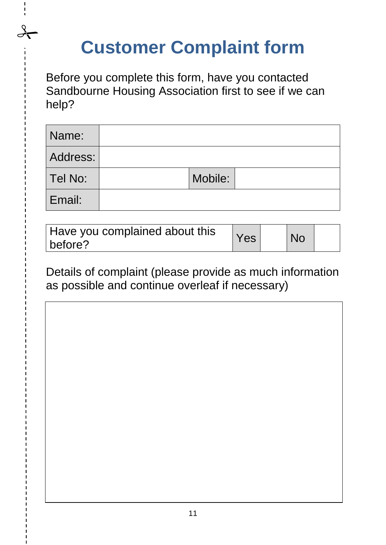## **Customer Complaint form**

 $\frac{1}{\sqrt{1}}$ 

Before you complete this form, have you contacted Sandbourne Housing Association first to see if we can help?

| Name:    |         |  |
|----------|---------|--|
| Address: |         |  |
| Tel No:  | Mobile: |  |
| Email:   |         |  |

| Have you complained about this | Yes | <b>No</b> |  |
|--------------------------------|-----|-----------|--|
| before?                        |     |           |  |

Details of complaint (please provide as much information as possible and continue overleaf if necessary)

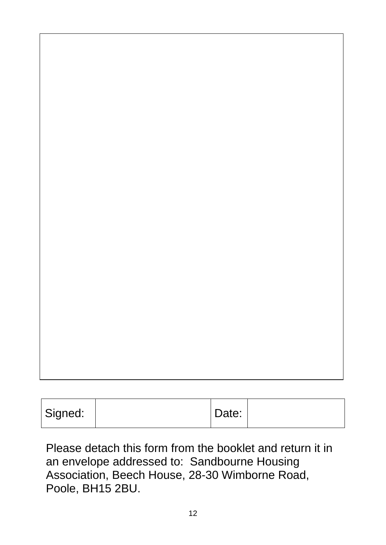| Signed: | Date: |  |
|---------|-------|--|

Please detach this form from the booklet and return it in an envelope addressed to: Sandbourne Housing Association, Beech House, 28-30 Wimborne Road, Poole, BH15 2BU.